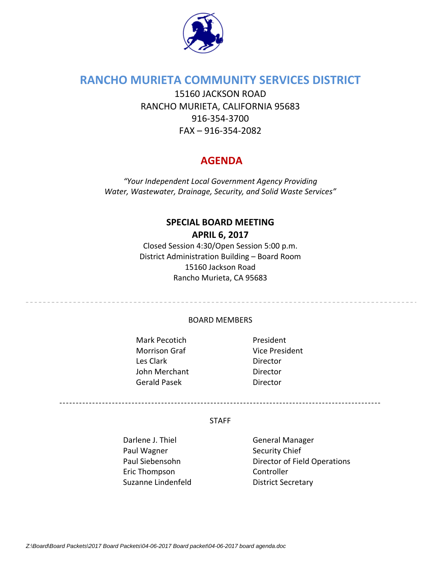

# **RANCHO MURIETA COMMUNITY SERVICES DISTRICT**

15160 JACKSON ROAD RANCHO MURIETA, CALIFORNIA 95683 916‐354‐3700 FAX – 916‐354‐2082

# **AGENDA**

*"Your Independent Local Government Agency Providing Water, Wastewater, Drainage, Security, and Solid Waste Services"*

## **SPECIAL BOARD MEETING APRIL 6, 2017**

Closed Session 4:30/Open Session 5:00 p.m. District Administration Building – Board Room 15160 Jackson Road Rancho Murieta, CA 95683

### BOARD MEMBERS

Mark Pecotich **President** Morrison Graf Vice President Les Clark **Director** John Merchant **Director** Gerald Pasek **Director** 

#### **STAFF**

--------------------------------------------------------------------------------------------------

Darlene J. Thiel **Same Constants Containers** General Manager Paul Wagner **Baul Wagner** Security Chief Eric Thompson Controller Suzanne Lindenfeld **District Secretary** 

Paul Siebensohn Director of Field Operations